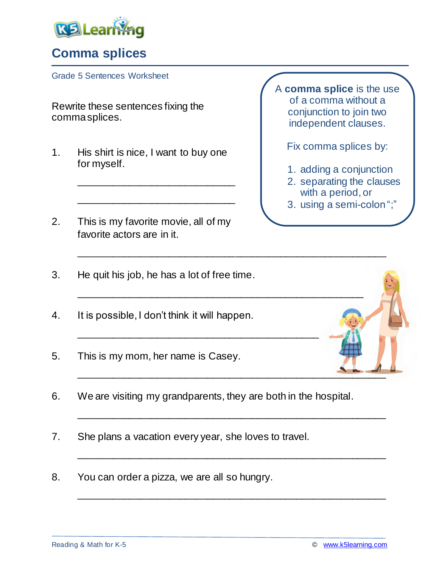

## **Comma splices**

Grade 5 Sentences Worksheet

Rewrite these sentences fixing the comma splices.

1. His shirt is nice, I want to buy one for myself.

\_\_\_\_\_\_\_\_\_\_\_\_\_\_\_\_\_\_\_\_\_\_\_\_\_\_\_\_

\_\_\_\_\_\_\_\_\_\_\_\_\_\_\_\_\_\_\_\_\_\_\_\_\_\_\_\_

2. This is my favorite movie, all of my favorite actors are in it.

A **comma splice** is the use of a comma without a conjunction to join two independent clauses.

Fix comma splices by:

- 1. adding a conjunction
- 2. separating the clauses with a period, or
- 3. using a semi-colon ";"

- 3. He quit his job, he has a lot of free time.
- 4. It is possible, I don't think it will happen.
- 5. This is my mom, her name is Casey.
- 6. We are visiting my grandparents, they are both in the hospital.

\_\_\_\_\_\_\_\_\_\_\_\_\_\_\_\_\_\_\_\_\_\_\_\_\_\_\_\_\_\_\_\_\_\_\_\_\_\_\_\_\_\_\_

\_\_\_\_\_\_\_\_\_\_\_\_\_\_\_\_\_\_\_\_\_\_\_\_\_\_\_\_\_\_\_\_\_\_\_\_\_\_\_\_\_\_\_\_\_\_\_\_\_\_\_\_\_\_\_

\_\_\_\_\_\_\_\_\_\_\_\_\_\_\_\_\_\_\_\_\_\_\_\_\_\_\_\_\_\_\_\_\_\_\_\_\_\_\_\_\_\_\_\_\_\_\_\_\_\_\_\_\_\_\_

\_\_\_\_\_\_\_\_\_\_\_\_\_\_\_\_\_\_\_\_\_\_\_\_\_\_\_\_\_\_\_\_\_\_\_\_\_\_\_\_\_\_\_\_\_\_\_\_\_\_\_\_\_\_\_

\_\_\_\_\_\_\_\_\_\_\_\_\_\_\_\_\_\_\_\_\_\_\_\_\_\_\_\_\_\_\_\_\_\_\_\_\_\_\_\_\_\_\_\_\_\_\_\_\_\_\_\_\_\_\_

\_\_\_\_\_\_\_\_\_\_\_\_\_\_\_\_\_\_\_\_\_\_\_\_\_\_\_\_\_\_\_\_\_\_\_\_\_\_\_\_\_\_\_\_\_\_\_\_\_\_\_\_\_\_\_

\_\_\_\_\_\_\_\_\_\_\_\_\_\_\_\_\_\_\_\_\_\_\_\_\_\_\_\_\_\_\_\_\_\_\_\_\_\_\_\_\_\_\_\_\_\_\_\_\_\_\_

- 7. She plans a vacation every year, she loves to travel.
- 8. You can order a pizza, we are all so hungry.